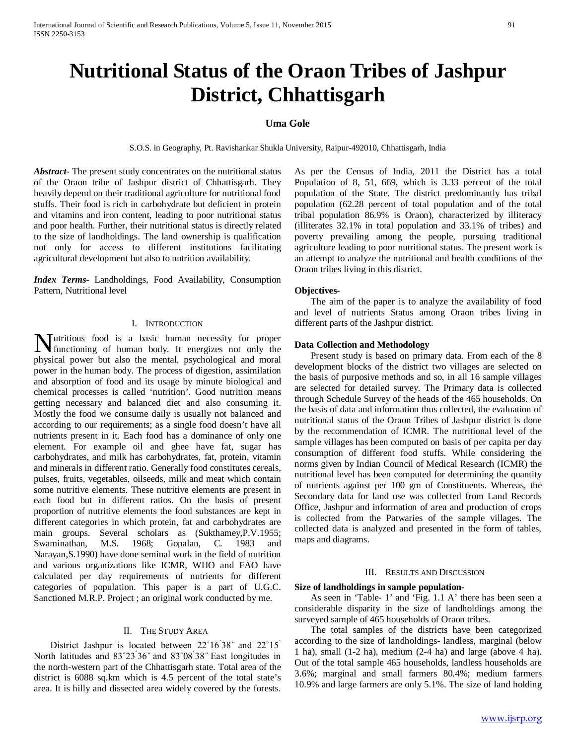# **Nutritional Status of the Oraon Tribes of Jashpur District, Chhattisgarh**

# **Uma Gole**

S.O.S. in Geography, Pt. Ravishankar Shukla University, Raipur-492010, Chhattisgarh, India

*Abstract***-** The present study concentrates on the nutritional status of the Oraon tribe of Jashpur district of Chhattisgarh. They heavily depend on their traditional agriculture for nutritional food stuffs. Their food is rich in carbohydrate but deficient in protein and vitamins and iron content, leading to poor nutritional status and poor health. Further, their nutritional status is directly related to the size of landholdings. The land ownership is qualification not only for access to different institutions facilitating agricultural development but also to nutrition availability.

*Index Terms*- Landholdings, Food Availability, Consumption Pattern, Nutritional level

#### I. INTRODUCTION

utritious food is a basic human necessity for proper **Nutritious** food is a basic human necessity for proper functioning of human body. It energizes not only the physical power but also the mental, psychological and moral power in the human body. The process of digestion, assimilation and absorption of food and its usage by minute biological and chemical processes is called 'nutrition'. Good nutrition means getting necessary and balanced diet and also consuming it. Mostly the food we consume daily is usually not balanced and according to our requirements; as a single food doesn't have all nutrients present in it. Each food has a dominance of only one element. For example oil and ghee have fat, sugar has carbohydrates, and milk has carbohydrates, fat, protein, vitamin and minerals in different ratio. Generally food constitutes cereals, pulses, fruits, vegetables, oilseeds, milk and meat which contain some nutritive elements. These nutritive elements are present in each food but in different ratios. On the basis of present proportion of nutritive elements the food substances are kept in different categories in which protein, fat and carbohydrates are main groups. Several scholars as (Sukthamey,P.V.1955; Swaminathan, M.S. 1968; Gopalan, C. 1983 and Narayan,S.1990) have done seminal work in the field of nutrition and various organizations like ICMR, WHO and FAO have calculated per day requirements of nutrients for different categories of population. This paper is a part of U.G.C. Sanctioned M.R.P. Project ; an original work conducted by me.

# II. THE STUDY AREA

District Jashpur is located between  $22^{\circ}16'38''$  and  $22^{\circ}15'$ North latitudes and  $83^{\circ}23'36''$  and  $83^{\circ}08'38''$  East longitudes in the north-western part of the Chhattisgarh state. Total area of the district is 6088 sq.km which is 4.5 percent of the total state's area. It is hilly and dissected area widely covered by the forests.

As per the Census of India, 2011 the District has a total Population of 8, 51, 669, which is 3.33 percent of the total population of the State. The district predominantly has tribal population (62.28 percent of total population and of the total tribal population 86.9% is Oraon), characterized by illiteracy (illiterates 32.1% in total population and 33.1% of tribes) and poverty prevailing among the people, pursuing traditional agriculture leading to poor nutritional status. The present work is an attempt to analyze the nutritional and health conditions of the Oraon tribes living in this district.

#### **Objectives-**

 The aim of the paper is to analyze the availability of food and level of nutrients Status among Oraon tribes living in different parts of the Jashpur district.

# **Data Collection and Methodology**

 Present study is based on primary data. From each of the 8 development blocks of the district two villages are selected on the basis of purposive methods and so, in all 16 sample villages are selected for detailed survey. The Primary data is collected through Schedule Survey of the heads of the 465 households. On the basis of data and information thus collected, the evaluation of nutritional status of the Oraon Tribes of Jashpur district is done by the recommendation of ICMR. The nutritional level of the sample villages has been computed on basis of per capita per day consumption of different food stuffs. While considering the norms given by Indian Council of Medical Research (ICMR) the nutritional level has been computed for determining the quantity of nutrients against per 100 gm of Constituents. Whereas, the Secondary data for land use was collected from Land Records Office, Jashpur and information of area and production of crops is collected from the Patwaries of the sample villages. The collected data is analyzed and presented in the form of tables, maps and diagrams.

#### III. RESULTS AND DISCUSSION

#### **Size of landholdings in sample population-**

 As seen in 'Table- 1' and 'Fig. 1.1 A' there has been seen a considerable disparity in the size of landholdings among the surveyed sample of 465 households of Oraon tribes.

 The total samples of the districts have been categorized according to the size of landholdings- landless, marginal (below 1 ha), small (1-2 ha), medium (2-4 ha) and large (above 4 ha). Out of the total sample 465 households, landless households are 3.6%; marginal and small farmers 80.4%; medium farmers 10.9% and large farmers are only 5.1%. The size of land holding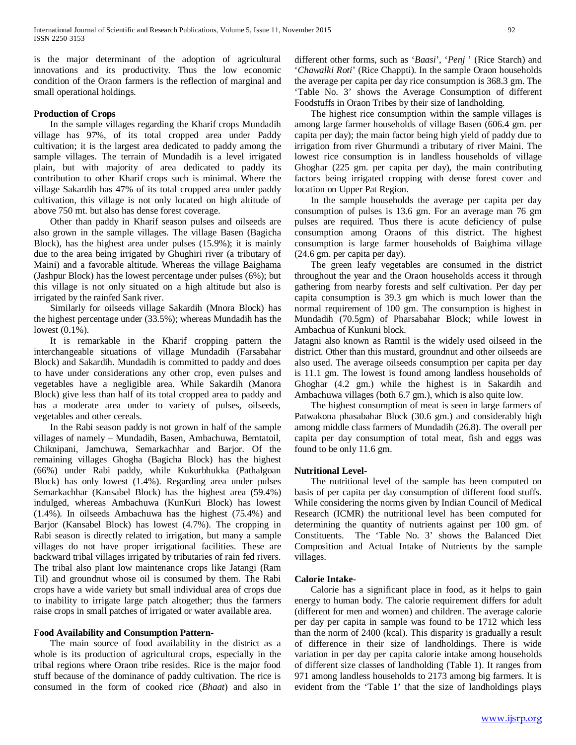is the major determinant of the adoption of agricultural innovations and its productivity. Thus the low economic condition of the Oraon farmers is the reflection of marginal and small operational holdings.

#### **Production of Crops**

 In the sample villages regarding the Kharif crops Mundadih village has 97%, of its total cropped area under Paddy cultivation; it is the largest area dedicated to paddy among the sample villages. The terrain of Mundadih is a level irrigated plain, but with majority of area dedicated to paddy its contribution to other Kharif crops such is minimal. Where the village Sakardih has 47% of its total cropped area under paddy cultivation, this village is not only located on high altitude of above 750 mt. but also has dense forest coverage.

 Other than paddy in Kharif season pulses and oilseeds are also grown in the sample villages. The village Basen (Bagicha Block), has the highest area under pulses (15.9%); it is mainly due to the area being irrigated by Ghughiri river (a tributary of Maini) and a favorable altitude. Whereas the village Baighama (Jashpur Block) has the lowest percentage under pulses (6%); but this village is not only situated on a high altitude but also is irrigated by the rainfed Sank river.

 Similarly for oilseeds village Sakardih (Mnora Block) has the highest percentage under (33.5%); whereas Mundadih has the lowest (0.1%).

 It is remarkable in the Kharif cropping pattern the interchangeable situations of village Mundadih (Farsabahar Block) and Sakardih. Mundadih is committed to paddy and does to have under considerations any other crop, even pulses and vegetables have a negligible area. While Sakardih (Manora Block) give less than half of its total cropped area to paddy and has a moderate area under to variety of pulses, oilseeds, vegetables and other cereals.

 In the Rabi season paddy is not grown in half of the sample villages of namely – Mundadih, Basen, Ambachuwa, Bemtatoil, Chiknipani, Jamchuwa, Semarkachhar and Barjor. Of the remaining villages Ghogha (Bagicha Block) has the highest (66%) under Rabi paddy, while Kukurbhukka (Pathalgoan Block) has only lowest (1.4%). Regarding area under pulses Semarkachhar (Kansabel Block) has the highest area (59.4%) indulged, whereas Ambachuwa (KunKuri Block) has lowest (1.4%). In oilseeds Ambachuwa has the highest (75.4%) and Barjor (Kansabel Block) has lowest (4.7%). The cropping in Rabi season is directly related to irrigation, but many a sample villages do not have proper irrigational facilities. These are backward tribal villages irrigated by tributaries of rain fed rivers. The tribal also plant low maintenance crops like Jatangi (Ram Til) and groundnut whose oil is consumed by them. The Rabi crops have a wide variety but small individual area of crops due to inability to irrigate large patch altogether; thus the farmers raise crops in small patches of irrigated or water available area.

## **Food Availability and Consumption Pattern-**

 The main source of food availability in the district as a whole is its production of agricultural crops, especially in the tribal regions where Oraon tribe resides. Rice is the major food stuff because of the dominance of paddy cultivation. The rice is consumed in the form of cooked rice (*Bhaat*) and also in

different other forms, such as '*Baasi*', '*Penj* ' (Rice Starch) and '*Chawalki Roti*' (Rice Chappti). In the sample Oraon households the average per capita per day rice consumption is 368.3 gm. The 'Table No. 3' shows the Average Consumption of different Foodstuffs in Oraon Tribes by their size of landholding.

 The highest rice consumption within the sample villages is among large farmer households of village Basen (606.4 gm. per capita per day); the main factor being high yield of paddy due to irrigation from river Ghurmundi a tributary of river Maini. The lowest rice consumption is in landless households of village Ghoghar (225 gm. per capita per day), the main contributing factors being irrigated cropping with dense forest cover and location on Upper Pat Region.

 In the sample households the average per capita per day consumption of pulses is 13.6 gm. For an average man 76 gm pulses are required. Thus there is acute deficiency of pulse consumption among Oraons of this district. The highest consumption is large farmer households of Baighima village (24.6 gm. per capita per day).

 The green leafy vegetables are consumed in the district throughout the year and the Oraon households access it through gathering from nearby forests and self cultivation. Per day per capita consumption is 39.3 gm which is much lower than the normal requirement of 100 gm. The consumption is highest in Mundadih (70.5gm) of Pharsabahar Block; while lowest in Ambachua of Kunkuni block.

Jatagni also known as Ramtil is the widely used oilseed in the district. Other than this mustard, groundnut and other oilseeds are also used. The average oilseeds consumption per capita per day is 11.1 gm. The lowest is found among landless households of Ghoghar (4.2 gm.) while the highest is in Sakardih and Ambachuwa villages (both 6.7 gm.), which is also quite low.

 The highest consumption of meat is seen in large farmers of Patwakona phasabahar Block (30.6 gm.) and considerably high among middle class farmers of Mundadih (26.8). The overall per capita per day consumption of total meat, fish and eggs was found to be only 11.6 gm.

#### **Nutritional Level-**

 The nutritional level of the sample has been computed on basis of per capita per day consumption of different food stuffs. While considering the norms given by Indian Council of Medical Research (ICMR) the nutritional level has been computed for determining the quantity of nutrients against per 100 gm. of Constituents. The 'Table No. 3' shows the Balanced Diet Composition and Actual Intake of Nutrients by the sample villages.

# **Calorie Intake-**

 Calorie has a significant place in food, as it helps to gain energy to human body. The calorie requirement differs for adult (different for men and women) and children. The average calorie per day per capita in sample was found to be 1712 which less than the norm of 2400 (kcal). This disparity is gradually a result of difference in their size of landholdings. There is wide variation in per day per capita calorie intake among households of different size classes of landholding (Table 1). It ranges from 971 among landless households to 2173 among big farmers. It is evident from the 'Table 1' that the size of landholdings plays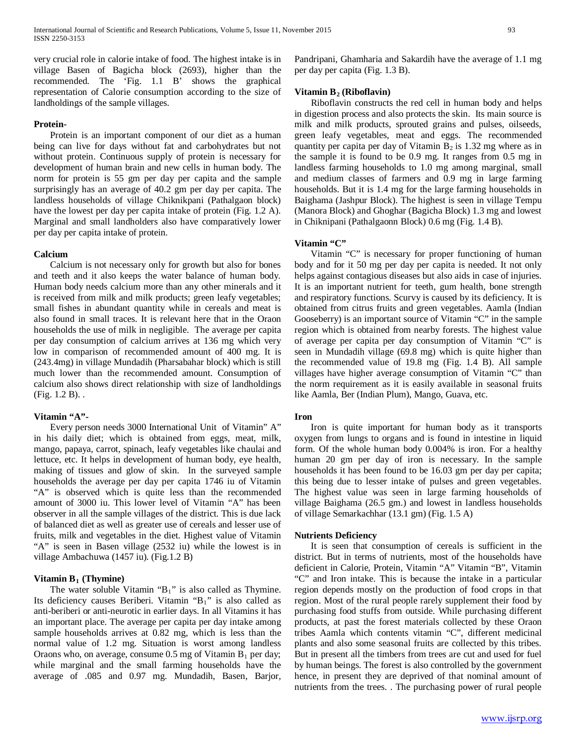very crucial role in calorie intake of food. The highest intake is in village Basen of Bagicha block (2693), higher than the recommended. The 'Fig. 1.1 B' shows the graphical representation of Calorie consumption according to the size of landholdings of the sample villages.

# **Protein-**

 Protein is an important component of our diet as a human being can live for days without fat and carbohydrates but not without protein. Continuous supply of protein is necessary for development of human brain and new cells in human body. The norm for protein is 55 gm per day per capita and the sample surprisingly has an average of 40.2 gm per day per capita. The landless households of village Chiknikpani (Pathalgaon block) have the lowest per day per capita intake of protein (Fig. 1.2 A). Marginal and small landholders also have comparatively lower per day per capita intake of protein.

#### **Calcium**

 Calcium is not necessary only for growth but also for bones and teeth and it also keeps the water balance of human body. Human body needs calcium more than any other minerals and it is received from milk and milk products; green leafy vegetables; small fishes in abundant quantity while in cereals and meat is also found in small traces. It is relevant here that in the Oraon households the use of milk in negligible. The average per capita per day consumption of calcium arrives at 136 mg which very low in comparison of recommended amount of 400 mg. It is (243.4mg) in village Mundadih (Pharsabahar block) which is still much lower than the recommended amount. Consumption of calcium also shows direct relationship with size of landholdings (Fig. 1.2 B). .

#### **Vitamin "A"-**

 Every person needs 3000 International Unit of Vitamin" A" in his daily diet; which is obtained from eggs, meat, milk, mango, papaya, carrot, spinach, leafy vegetables like chaulai and lettuce, etc. It helps in development of human body, eye health, making of tissues and glow of skin. In the surveyed sample households the average per day per capita 1746 iu of Vitamin "A" is observed which is quite less than the recommended amount of 3000 iu. This lower level of Vitamin "A" has been observer in all the sample villages of the district. This is due lack of balanced diet as well as greater use of cereals and lesser use of fruits, milk and vegetables in the diet. Highest value of Vitamin "A" is seen in Basen village (2532 iu) while the lowest is in village Ambachuwa (1457 iu). (Fig.1.2 B)

# **Vitamin B<sub>1</sub>** (Thymine)

The water soluble Vitamin " $B_1$ " is also called as Thymine. Its deficiency causes Beriberi. Vitamin "B1" is also called as anti-beriberi or anti-neurotic in earlier days. In all Vitamins it has an important place. The average per capita per day intake among sample households arrives at 0.82 mg, which is less than the normal value of 1.2 mg. Situation is worst among landless Oraons who, on average, consume  $0.5$  mg of Vitamin  $B_1$  per day; while marginal and the small farming households have the average of .085 and 0.97 mg. Mundadih, Basen, Barjor,

Pandripani, Ghamharia and Sakardih have the average of 1.1 mg per day per capita (Fig. 1.3 B).

# **Vitamin B<sub>2</sub>** (Riboflavin)

 Riboflavin constructs the red cell in human body and helps in digestion process and also protects the skin. Its main source is milk and milk products, sprouted grains and pulses, oilseeds, green leafy vegetables, meat and eggs. The recommended quantity per capita per day of Vitamin  $B_2$  is 1.32 mg where as in the sample it is found to be 0.9 mg. It ranges from 0.5 mg in landless farming households to 1.0 mg among marginal, small and medium classes of farmers and 0.9 mg in large farming households. But it is 1.4 mg for the large farming households in Baighama (Jashpur Block). The highest is seen in village Tempu (Manora Block) and Ghoghar (Bagicha Block) 1.3 mg and lowest in Chiknipani (Pathalgaonn Block) 0.6 mg (Fig. 1.4 B).

### **Vitamin "C"**

 Vitamin "C" is necessary for proper functioning of human body and for it 50 mg per day per capita is needed. It not only helps against contagious diseases but also aids in case of injuries. It is an important nutrient for teeth, gum health, bone strength and respiratory functions. Scurvy is caused by its deficiency. It is obtained from citrus fruits and green vegetables. Aamla (Indian Gooseberry) is an important source of Vitamin "C" in the sample region which is obtained from nearby forests. The highest value of average per capita per day consumption of Vitamin "C" is seen in Mundadih village (69.8 mg) which is quite higher than the recommended value of 19.8 mg (Fig. 1.4 B). All sample villages have higher average consumption of Vitamin "C" than the norm requirement as it is easily available in seasonal fruits like Aamla, Ber (Indian Plum), Mango, Guava, etc.

#### **Iron**

 Iron is quite important for human body as it transports oxygen from lungs to organs and is found in intestine in liquid form. Of the whole human body 0.004% is iron. For a healthy human 20 gm per day of iron is necessary. In the sample households it has been found to be 16.03 gm per day per capita; this being due to lesser intake of pulses and green vegetables. The highest value was seen in large farming households of village Baighama (26.5 gm.) and lowest in landless households of village Semarkachhar (13.1 gm) (Fig. 1.5 A)

#### **Nutrients Deficiency**

 It is seen that consumption of cereals is sufficient in the district. But in terms of nutrients, most of the households have deficient in Calorie, Protein, Vitamin "A" Vitamin "B", Vitamin "C" and Iron intake. This is because the intake in a particular region depends mostly on the production of food crops in that region. Most of the rural people rarely supplement their food by purchasing food stuffs from outside. While purchasing different products, at past the forest materials collected by these Oraon tribes Aamla which contents vitamin "C", different medicinal plants and also some seasonal fruits are collected by this tribes. But in present all the timbers from trees are cut and used for fuel by human beings. The forest is also controlled by the government hence, in present they are deprived of that nominal amount of nutrients from the trees. . The purchasing power of rural people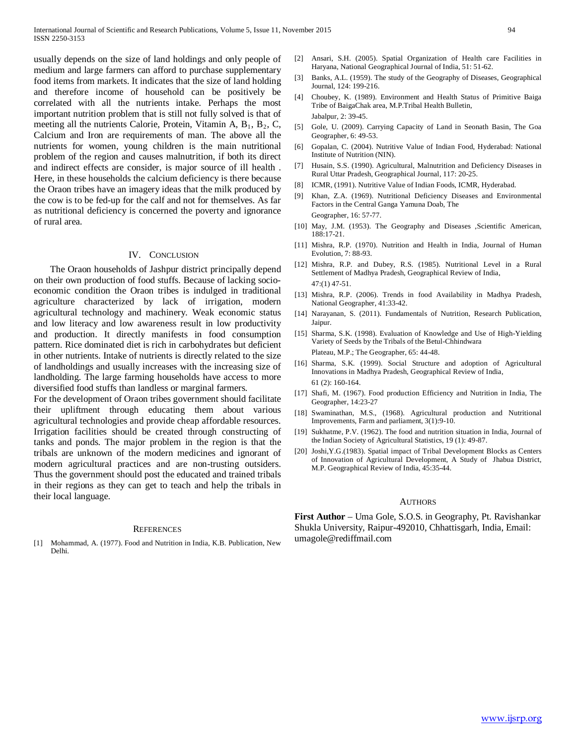usually depends on the size of land holdings and only people of medium and large farmers can afford to purchase supplementary food items from markets. It indicates that the size of land holding and therefore income of household can be positively be correlated with all the nutrients intake. Perhaps the most important nutrition problem that is still not fully solved is that of meeting all the nutrients Calorie, Protein, Vitamin A,  $B_1$ ,  $B_2$ , C, Calcium and Iron are requirements of man. The above all the nutrients for women, young children is the main nutritional problem of the region and causes malnutrition, if both its direct and indirect effects are consider, is major source of ill health . Here, in these households the calcium deficiency is there because the Oraon tribes have an imagery ideas that the milk produced by the cow is to be fed-up for the calf and not for themselves. As far as nutritional deficiency is concerned the poverty and ignorance of rural area.

#### IV. CONCLUSION

 The Oraon households of Jashpur district principally depend on their own production of food stuffs. Because of lacking socioeconomic condition the Oraon tribes is indulged in traditional agriculture characterized by lack of irrigation, modern agricultural technology and machinery. Weak economic status and low literacy and low awareness result in low productivity and production. It directly manifests in food consumption pattern. Rice dominated diet is rich in carbohydrates but deficient in other nutrients. Intake of nutrients is directly related to the size of landholdings and usually increases with the increasing size of landholding. The large farming households have access to more diversified food stuffs than landless or marginal farmers.

For the development of Oraon tribes government should facilitate their upliftment through educating them about various agricultural technologies and provide cheap affordable resources. Irrigation facilities should be created through constructing of tanks and ponds. The major problem in the region is that the tribals are unknown of the modern medicines and ignorant of modern agricultural practices and are non-trusting outsiders. Thus the government should post the educated and trained tribals in their regions as they can get to teach and help the tribals in their local language.

#### **REFERENCES**

Mohammad, A. (1977). Food and Nutrition in India, K.B. Publication, New Delhi.

- [2] Ansari, S.H. (2005). Spatial Organization of Health care Facilities in Haryana, National Geographical Journal of India, 51: 51-62.
- [3] Banks, A.L. (1959). The study of the Geography of Diseases, Geographical Journal, 124: 199-216.
- [4] Choubey, K. (1989). Environment and Health Status of Primitive Baiga Tribe of BaigaChak area, M.P.Tribal Health Bulletin, Jabalpur, 2: 39-45.
- [5] Gole, U. (2009). Carrying Capacity of Land in Seonath Basin, The Goa Geographer, 6: 49-53.
- [6] Gopalan, C. (2004). Nutritive Value of Indian Food, Hyderabad: National Institute of Nutrition (NIN).
- [7] Husain, S.S. (1990). Agricultural, Malnutrition and Deficiency Diseases in Rural Uttar Pradesh, Geographical Journal, 117: 20-25.
- [8] ICMR, (1991). Nutritive Value of Indian Foods, ICMR, Hyderabad.
- [9] Khan, Z.A. (1969). Nutritional Deficiency Diseases and Environmental Factors in the Central Ganga Yamuna Doab, The Geographer, 16: 57-77.
- [10] May, J.M. (1953). The Geography and Diseases ,Scientific American, 188:17-21.
- [11] Mishra, R.P. (1970). Nutrition and Health in India, Journal of Human Evolution, 7: 88-93.
- [12] Mishra, R.P. and Dubey, R.S. (1985). Nutritional Level in a Rural Settlement of Madhya Pradesh, Geographical Review of India, 47:(1) 47-51.
- [13] Mishra, R.P. (2006). Trends in food Availability in Madhya Pradesh, National Geographer, 41:33-42.
- [14] Narayanan, S. (2011). Fundamentals of Nutrition, Research Publication, Jaipur.
- [15] Sharma, S.K. (1998). Evaluation of Knowledge and Use of High-Yielding Variety of Seeds by the Tribals of the Betul-Chhindwara Plateau, M.P.; The Geographer, 65: 44-48.
- [16] Sharma, S.K. (1999). Social Structure and adoption of Agricultural Innovations in Madhya Pradesh, Geographical Review of India, 61 (2): 160-164.
- [17] Shafi, M. (1967). Food production Efficiency and Nutrition in India, The Geographer, 14:23-27
- [18] Swaminathan, M.S., (1968). Agricultural production and Nutritional Improvements, Farm and parliament, 3(1):9-10.
- [19] Sukhatme, P.V. (1962). The food and nutrition situation in India, Journal of the Indian Society of Agricultural Statistics, 19 (1): 49-87.
- [20] Joshi,Y.G.(1983). Spatial impact of Tribal Development Blocks as Centers of Innovation of Agricultural Development, A Study of Jhabua District, M.P. Geographical Review of India, 45:35-44.

#### AUTHORS

**First Author** – Uma Gole, S.O.S. in Geography, Pt. Ravishankar Shukla University, Raipur-492010, Chhattisgarh, India, Email: umagole@rediffmail.com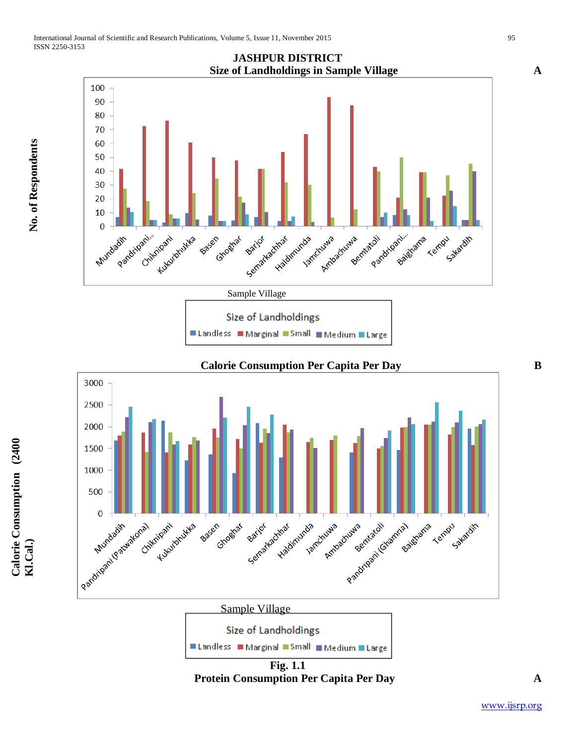

■ Landless ■ Marginal ■ Small ■ Medium ■ Large



**Fig. 1.1 Protein Consumption Per Capita Per Day A**

**No. of Respondents**

No. of Respondents

**Calorie Consumption (2400**  Calorie Consumption (2400<br>Kl.Cal.)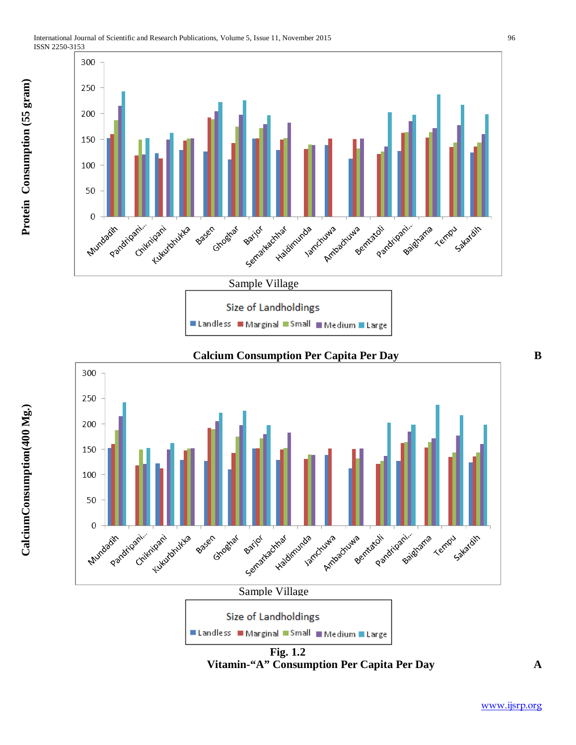



**Fig. 1.2 Vitamin-"A" Consumption Per Capita Per Day A**

[www.ijsrp.org](http://ijsrp.org/)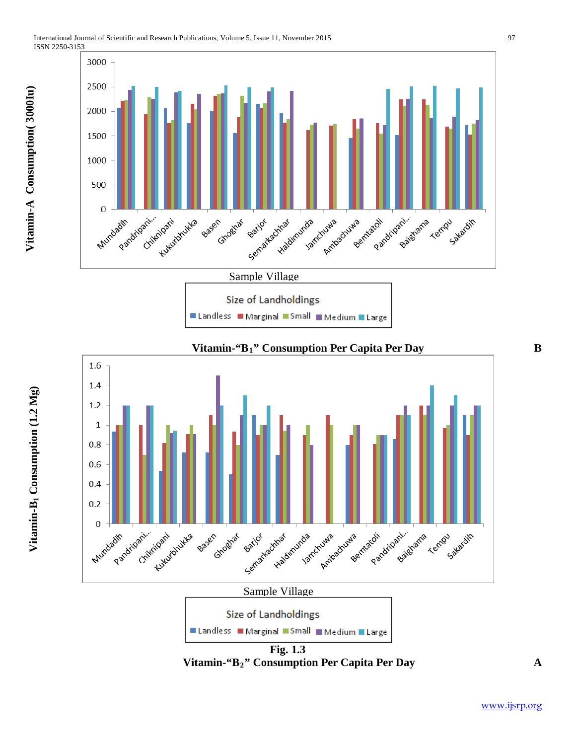





**Fig. 1.3 Vitamin-"B2" Consumption Per Capita Per Day A**

[www.ijsrp.org](http://ijsrp.org/)

Vitamin-A Consumption(3000Iu) **Vitamin-A Consumption( 3000Iu)**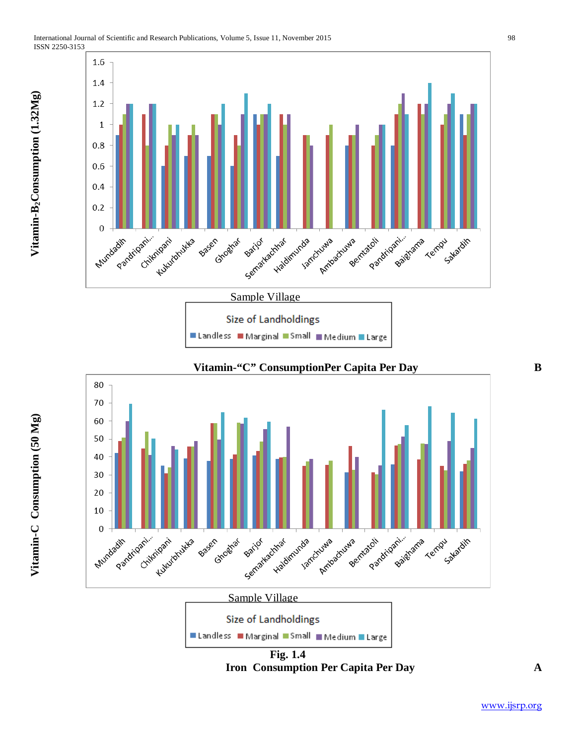





**Fig. 1.4 Iron Consumption Per Capita Per Day A**

**Vitamin-B Consumption 2 (1.32Mg)**

Vitamin-B<sub>2</sub>Consumption (1.32Mg)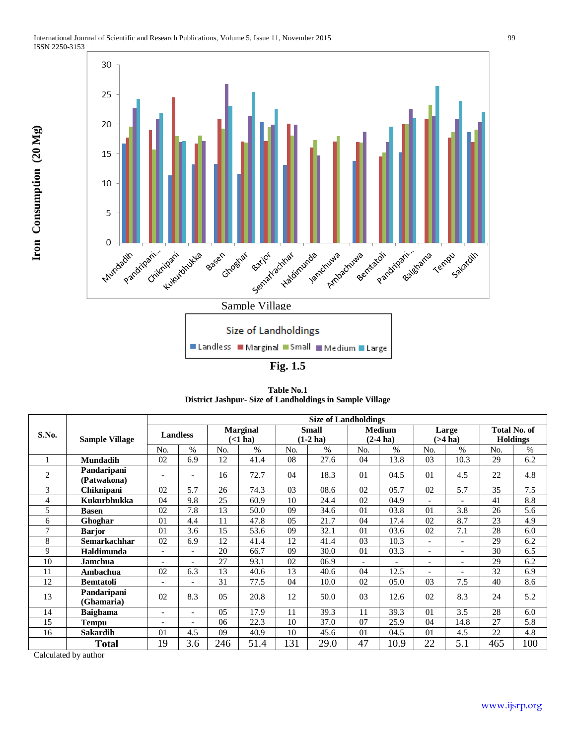

**Fig. 1.5**

**Table No.1 District Jashpur- Size of Landholdings in Sample Village**

|                |                       | <b>Size of Landholdings</b> |                          |                            |      |                             |      |                              |      |                          |                          |                                        |      |
|----------------|-----------------------|-----------------------------|--------------------------|----------------------------|------|-----------------------------|------|------------------------------|------|--------------------------|--------------------------|----------------------------------------|------|
| S.No.          | <b>Sample Village</b> | <b>Landless</b>             |                          | <b>Marginal</b><br>(<1 ha) |      | <b>Small</b><br>$(1-2)$ ha) |      | <b>Medium</b><br>$(2-4)$ ha) |      | Large<br>$($ >4 ha)      |                          | <b>Total No. of</b><br><b>Holdings</b> |      |
|                |                       |                             |                          |                            |      |                             |      |                              |      |                          |                          |                                        |      |
|                |                       |                             | <b>Mundadih</b>          | 02                         | 6.9  | 12                          | 41.4 | 08                           | 27.6 | 04                       | 13.8                     | 03                                     | 10.3 |
| $\overline{2}$ | Pandaripani           |                             | $\overline{\phantom{a}}$ | 16                         | 72.7 | 04                          | 18.3 | 01                           | 04.5 | 01                       | 4.5                      | 22                                     | 4.8  |
|                | (Patwakona)           | $\overline{\phantom{0}}$    |                          |                            |      |                             |      |                              |      |                          |                          |                                        |      |
| 3              | Chiknipani            | 02                          | 5.7                      | 26                         | 74.3 | 0 <sub>3</sub>              | 08.6 | 02                           | 05.7 | 02                       | 5.7                      | 35                                     | 7.5  |
| 4              | Kukurbhukka           | 04                          | 9.8                      | 25                         | 60.9 | 10                          | 24.4 | 02                           | 04.9 | $\overline{\phantom{0}}$ | $\overline{\phantom{0}}$ | 41                                     | 8.8  |
| 5              | Basen                 | 02                          | 7.8                      | 13                         | 50.0 | 09                          | 34.6 | 01                           | 03.8 | 01                       | 3.8                      | 26                                     | 5.6  |
| 6              | Ghoghar               | 01                          | 4.4                      | 11                         | 47.8 | 0.5                         | 21.7 | 04                           | 17.4 | 02                       | 8.7                      | 23                                     | 4.9  |
| $\tau$         | <b>Barjor</b>         | 01                          | 3.6                      | 15                         | 53.6 | 09                          | 32.1 | 01                           | 03.6 | 02                       | 7.1                      | 28                                     | 6.0  |
| 8              | <b>Semarkachhar</b>   | 02                          | 6.9                      | 12                         | 41.4 | 12                          | 41.4 | 03                           | 10.3 |                          |                          | 29                                     | 6.2  |
| 9              | Haldimunda            | $\overline{\phantom{0}}$    | $\overline{\phantom{0}}$ | 20                         | 66.7 | 09                          | 30.0 | 01                           | 03.3 | $\overline{\phantom{0}}$ | $\overline{\phantom{0}}$ | 30                                     | 6.5  |
| 10             | Jamchua               | $\overline{\phantom{0}}$    |                          | 27                         | 93.1 | 02                          | 06.9 | $\overline{a}$               |      | $\overline{\phantom{a}}$ | $\overline{\phantom{0}}$ | 29                                     | 6.2  |
| 11             | Ambachua              | 02                          | 6.3                      | 13                         | 40.6 | 13                          | 40.6 | 04                           | 12.5 | $\overline{a}$           | $\overline{a}$           | 32                                     | 6.9  |
| 12             | <b>Bemtatoli</b>      | $\overline{\phantom{0}}$    |                          | 31                         | 77.5 | 04                          | 10.0 | 02                           | 05.0 | 03                       | 7.5                      | 40                                     | 8.6  |
| 13             | Pandaripani           | 02                          | 8.3                      | $0.5^{\circ}$              | 20.8 | 12                          | 50.0 | 03                           | 12.6 | 02                       | 8.3                      | 24                                     | 5.2  |
|                | (Ghamaria)            |                             |                          |                            |      |                             |      |                              |      |                          |                          |                                        |      |
| 14             | <b>Baighama</b>       | $\overline{\phantom{0}}$    | $\overline{\phantom{0}}$ | 05                         | 17.9 | 11                          | 39.3 | 11                           | 39.3 | 01                       | 3.5                      | 28                                     | 6.0  |
| 15             | <b>Tempu</b>          | $\overline{a}$              |                          | 06                         | 22.3 | 10                          | 37.0 | 07                           | 25.9 | 04                       | 14.8                     | 27                                     | 5.8  |
| 16             | <b>Sakardih</b>       | 01                          | 4.5                      | 09                         | 40.9 | 10                          | 45.6 | 01                           | 04.5 | 0 <sub>1</sub>           | 4.5                      | 22                                     | 4.8  |
|                | <b>Total</b>          | 19                          | 3.6                      | 246                        | 51.4 | 131                         | 29.0 | 47                           | 10.9 | 22                       | 5.1                      | 465                                    | 100  |

Calculated by author

**Iron Consumption (20 Mg)**

Iron Consumption (20 Mg)